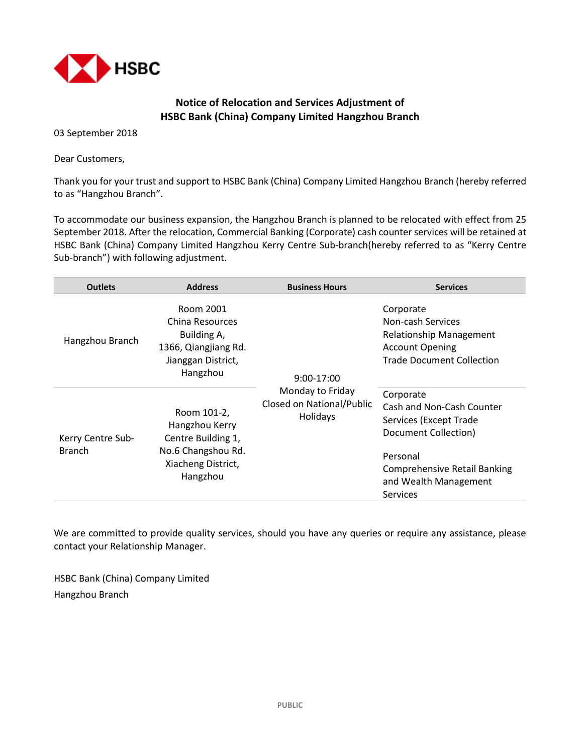

## **Notice of Relocation and Services Adjustment of HSBC Bank (China) Company Limited Hangzhou Branch**

03 September 2018

Dear Customers,

Thank you for your trust and support to HSBC Bank (China) Company Limited Hangzhou Branch (hereby referred to as "Hangzhou Branch".

To accommodate our business expansion, the Hangzhou Branch is planned to be relocated with effect from 25 September 2018. After the relocation, Commercial Banking (Corporate) cash counter services will be retained at HSBC Bank (China) Company Limited Hangzhou Kerry Centre Sub-branch(hereby referred to as "Kerry Centre Sub-branch") with following adjustment.

| <b>Outlets</b>                     | <b>Address</b>                                                                                              | <b>Business Hours</b>                                                   | <b>Services</b>                                                                                                                                                                         |
|------------------------------------|-------------------------------------------------------------------------------------------------------------|-------------------------------------------------------------------------|-----------------------------------------------------------------------------------------------------------------------------------------------------------------------------------------|
| Hangzhou Branch                    | Room 2001<br>China Resources<br>Building A,<br>1366, Qiangjiang Rd.<br>Jianggan District,<br>Hangzhou       | 9:00-17:00<br>Monday to Friday<br>Closed on National/Public<br>Holidays | Corporate<br>Non-cash Services<br><b>Relationship Management</b><br><b>Account Opening</b><br><b>Trade Document Collection</b>                                                          |
| Kerry Centre Sub-<br><b>Branch</b> | Room 101-2,<br>Hangzhou Kerry<br>Centre Building 1,<br>No.6 Changshou Rd.<br>Xiacheng District,<br>Hangzhou |                                                                         | Corporate<br>Cash and Non-Cash Counter<br>Services (Except Trade<br>Document Collection)<br>Personal<br><b>Comprehensive Retail Banking</b><br>and Wealth Management<br><b>Services</b> |

We are committed to provide quality services, should you have any queries or require any assistance, please contact your Relationship Manager.

HSBC Bank (China) Company Limited Hangzhou Branch